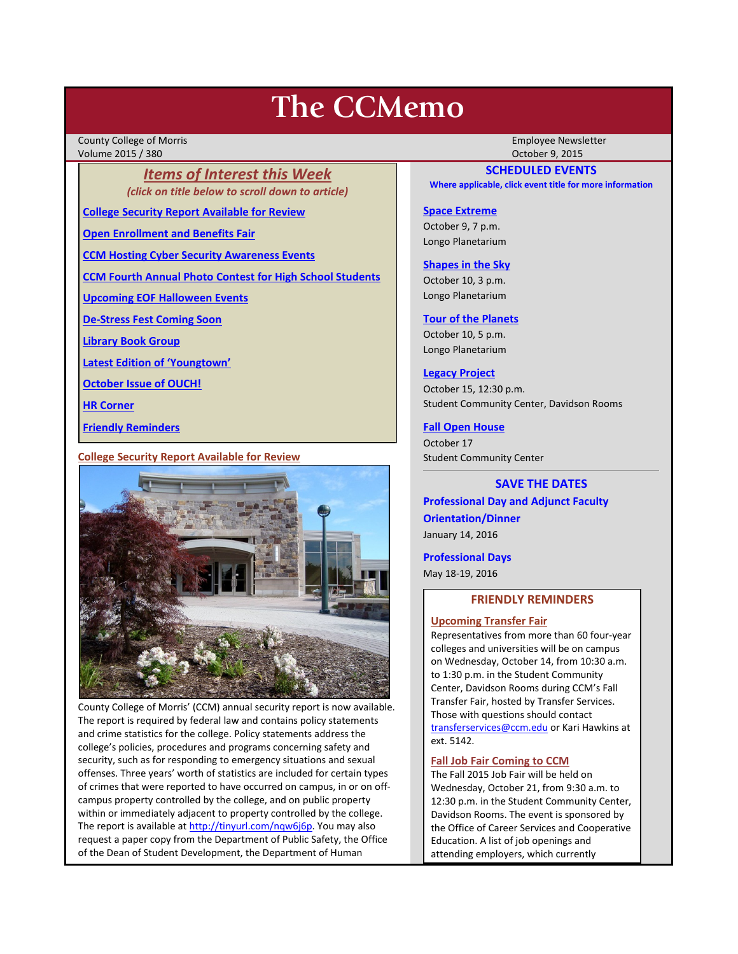# **The CCMemo**

County College of Morris Employee Newsletter Volume 2015 / 380 October 9, 2015

*Items of Interest this Week (click on title below to scroll down to article)*

**[College Security Report Available for Review](#page-0-0)**

**[Open Enrollment and Benefits Fair](#page-1-0)**

**[CCM Hosting Cyber Security Awareness Events](#page-1-1)**

**[CCM Fourth Annual Photo Contest for High School Students](#page-1-2)**

**[Upcoming EOF Halloween Events](#page-1-3)**

**[De-Stress Fest Coming Soon](#page-2-0)**

**[Library Book Group](#page-2-1)**

**[Latest Edition of 'Youngtown'](#page-2-2)**

**[October Issue of OUCH!](#page-2-3)**

**[HR Corner](#page-2-4)**

**[Friendly Reminders](#page-0-1)**

<span id="page-0-0"></span>**College Security Report Available for Review**



County College of Morris' (CCM) annual security report is now available. The report is required by federal law and contains policy statements and crime statistics for the college. Policy statements address the college's policies, procedures and programs concerning safety and security, such as for responding to emergency situations and sexual offenses. Three years' worth of statistics are included for certain types of crimes that were reported to have occurred on campus, in or on offcampus property controlled by the college, and on public property within or immediately adjacent to property controlled by the college. The report is available at [http://tinyurl.com/nqw6j6p.](http://tinyurl.com/nqw6j6p) You may also request a paper copy from the Department of Public Safety, the Office of the Dean of Student Development, the Department of Human

# **SCHEDULED EVENTS**

**Where applicable, click event title for more information**

# **[Space Extreme](http://www.ccm.edu/newsEvents/eventDetails.aspx?Channel=/Channels/Sitewide&WorkflowItemID=1874a4b0-0bcb-4ed1-a29e-7b4f8d25e45d)**

October 9, 7 p.m. Longo Planetarium

#### **[Shapes in the Sky](http://www.ccm.edu/newsEvents/eventDetails.aspx?Channel=/Channels/Sitewide&WorkflowItemID=1922c928-86d3-4e75-b6a2-fd618033989c)**

October 10, 3 p.m. Longo Planetarium

## **[Tour of the Planets](http://www.ccm.edu/newsEvents/eventDetails.aspx?Channel=/Channels/Sitewide&WorkflowItemID=5834aa20-68ba-4fa2-a3ac-75b2311ba441)**

October 10, 5 p.m. Longo Planetarium

# **[Legacy Project](http://www.ccm.edu/newsEvents/newsDetails.aspx?Channel=%2fChannels%2fSitewide&WorkflowItemID=5bd94e22-efe8-4288-bb43-aa5783b26c61)**

October 15, 12:30 p.m. Student Community Center, Davidson Rooms

# **[Fall Open House](http://www.ccm.edu/newsEvents/newsDetails.aspx?Channel=%2fChannels%2fSitewide&WorkflowItemID=a1cea02d-b22e-4024-86b7-ce41a9677b56)**

October 17 Student Community Center

# **SAVE THE DATES**

**Professional Day and Adjunct Faculty Orientation/Dinner** January 14, 2016

**Professional Days**

<span id="page-0-1"></span>May 18-19, 2016

# **FRIENDLY REMINDERS**

### **Upcoming Transfer Fair**

Representatives from more than 60 four-year colleges and universities will be on campus on Wednesday, October 14, from 10:30 a.m. to 1:30 p.m. in the Student Community Center, Davidson Rooms during CCM's Fall Transfer Fair, hosted by Transfer Services. Those with questions should contact [transferservices@ccm.edu](mailto:transferservices@ccm.edu) or Kari Hawkins at ext. 5142.

# **Fall Job Fair Coming to CCM**

The Fall 2015 Job Fair will be held on Wednesday, October 21, from 9:30 a.m. to 12:30 p.m. in the Student Community Center, Davidson Rooms. The event is sponsored by the Office of Career Services and Cooperative Education. A list of job openings and attending employers, which currently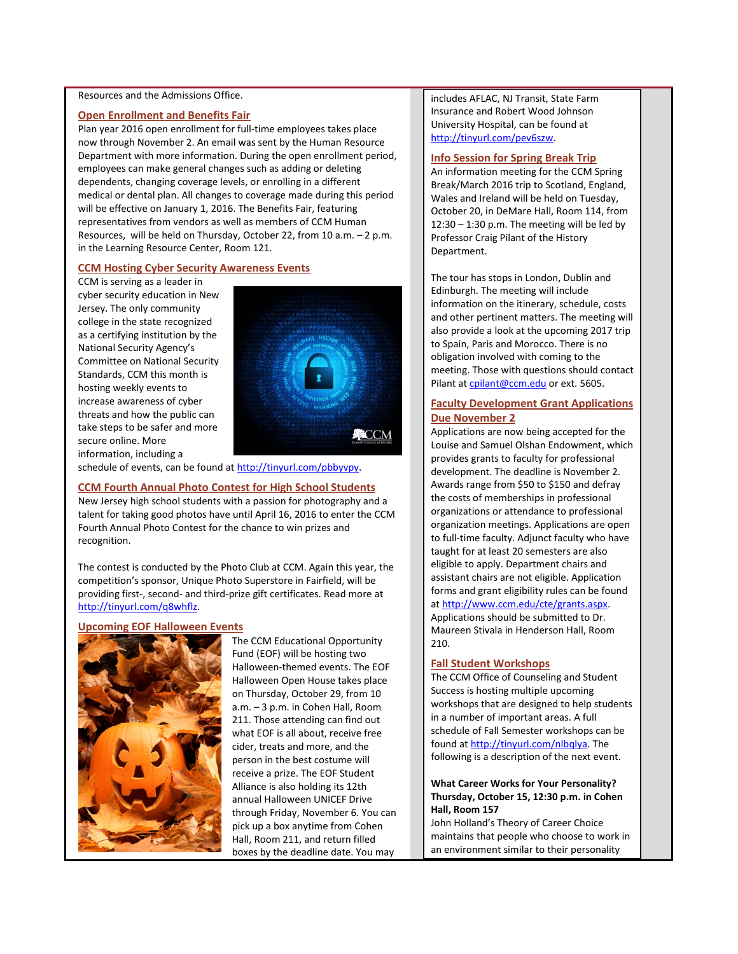#### Resources and the Admissions Office.

#### <span id="page-1-0"></span>**Open Enrollment and Benefits Fair**

Plan year 2016 open enrollment for full-time employees takes place now through November 2. An email was sent by the Human Resource Department with more information. During the open enrollment period, employees can make general changes such as adding or deleting dependents, changing coverage levels, or enrolling in a different medical or dental plan. All changes to coverage made during this period will be effective on January 1, 2016. The Benefits Fair, featuring representatives from vendors as well as members of CCM Human Resources, will be held on Thursday, October 22, from 10 a.m. – 2 p.m. in the Learning Resource Center, Room 121.

## <span id="page-1-1"></span>**CCM Hosting Cyber Security Awareness Events**

CCM is serving as a leader in cyber security education in New Jersey. The only community college in the state recognized as a certifying institution by the National Security Agency's Committee on National Security Standards, CCM this month is hosting weekly events to increase awareness of cyber threats and how the public can take steps to be safer and more secure online. More information, including a



schedule of events, can be found a[t http://tinyurl.com/pbbyvpy.](http://tinyurl.com/pbbyvpy)

#### <span id="page-1-2"></span>**CCM Fourth Annual Photo Contest for High School Students**

New Jersey high school students with a passion for photography and a talent for taking good photos have until April 16, 2016 to enter the CCM Fourth Annual Photo Contest for the chance to win prizes and recognition.

The contest is conducted by the Photo Club at CCM. Again this year, the competition's sponsor, Unique Photo Superstore in Fairfield, will be providing first-, second- and third-prize gift certificates. Read more at [http://tinyurl.com/q8whflz.](http://tinyurl.com/q8whflz)

#### <span id="page-1-3"></span>**Upcoming EOF Halloween Events**



The CCM Educational Opportunity Fund (EOF) will be hosting two Halloween-themed events. The EOF Halloween Open House takes place on Thursday, October 29, from 10 a.m. – 3 p.m. in Cohen Hall, Room 211. Those attending can find out what EOF is all about, receive free cider, treats and more, and the person in the best costume will receive a prize. The EOF Student Alliance is also holding its 12th annual Halloween UNICEF Drive through Friday, November 6. You can pick up a box anytime from Cohen Hall, Room 211, and return filled boxes by the deadline date. You may

includes AFLAC, NJ Transit, State Farm Insurance and Robert Wood Johnson University Hospital, can be found at [http://tinyurl.com/pev6szw.](http://tinyurl.com/pev6szw)

#### **Info Session for Spring Break Trip**

An information meeting for the CCM Spring Break/March 2016 trip to Scotland, England, Wales and Ireland will be held on Tuesday, October 20, in DeMare Hall, Room 114, from 12:30 – 1:30 p.m. The meeting will be led by Professor Craig Pilant of the History Department.

The tour has stops in London, Dublin and Edinburgh. The meeting will include information on the itinerary, schedule, costs and other pertinent matters. The meeting will also provide a look at the upcoming 2017 trip to Spain, Paris and Morocco. There is no obligation involved with coming to the meeting. Those with questions should contact Pilant at [cpilant@ccm.edu](mailto:cpilant@ccm.edu) or ext. 5605.

# **Faculty Development Grant Applications Due November 2**

Applications are now being accepted for the Louise and Samuel Olshan Endowment, which provides grants to faculty for professional development. The deadline is November 2. Awards range from \$50 to \$150 and defray the costs of memberships in professional organizations or attendance to professional organization meetings. Applications are open to full-time faculty. Adjunct faculty who have taught for at least 20 semesters are also eligible to apply. Department chairs and assistant chairs are not eligible. Application forms and grant eligibility rules can be found at [http://www.ccm.edu/cte/grants.aspx.](http://www.ccm.edu/cte/grants.aspx)  Applications should be submitted to Dr. Maureen Stivala in Henderson Hall, Room 210.

#### **Fall Student Workshops**

The CCM Office of Counseling and Student Success is hosting multiple upcoming workshops that are designed to help students in a number of important areas. A full schedule of Fall Semester workshops can be found a[t http://tinyurl.com/nlbqlya.](http://tinyurl.com/nlbqlya) The following is a description of the next event.

# **What Career Works for Your Personality? Thursday, October 15, 12:30 p.m. in Cohen Hall, Room 157**

John Holland's Theory of Career Choice maintains that people who choose to work in an environment similar to their personality